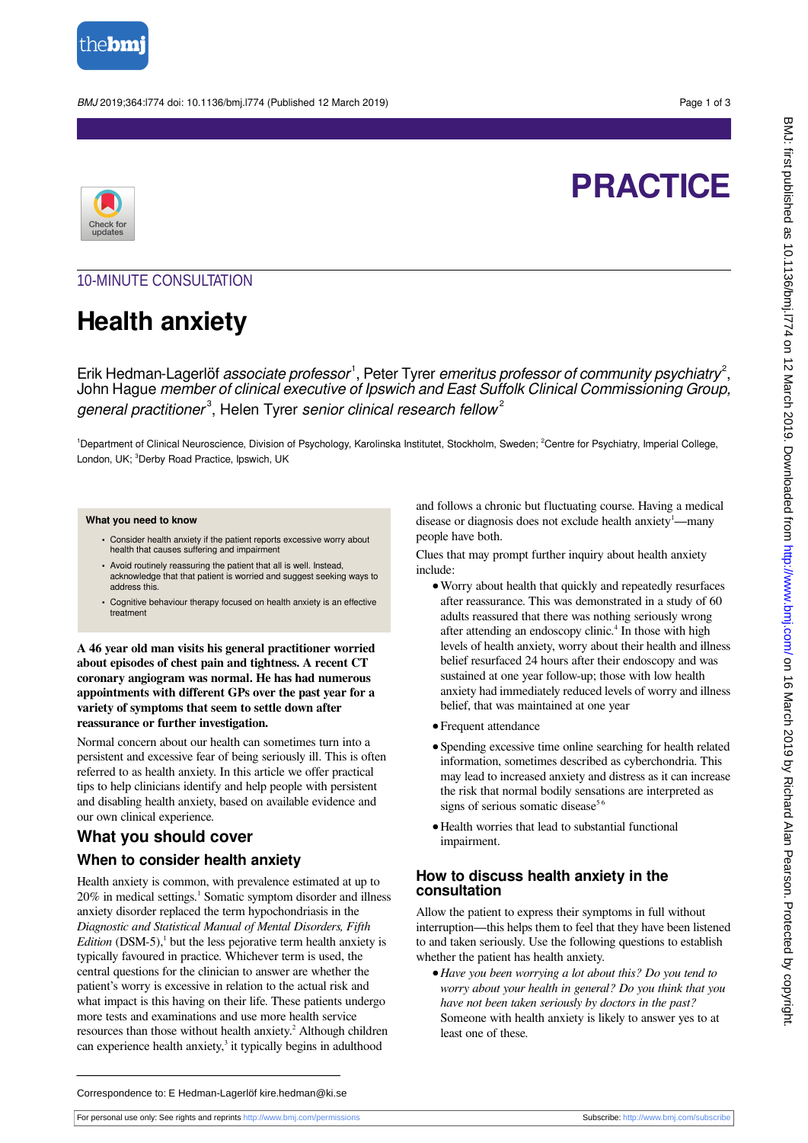

BMJ 2019;364:l774 doi: 10.1136/bmj.l774 (Published 12 March 2019) Page 1 of 3





# 10-MINUTE CONSULTATION

# **Health anxiety**

Erik Hedman-Lagerlöf *associate professor*<sup>1</sup>, Peter Tyrer *emeritus professor of community psychiatry<sup>2</sup>,* John Hague member of clinical executive of Ipswich and East Suffolk Clinical Commissioning Group, general practitioner<sup>3</sup>, Helen Tyrer senior clinical research fellow<sup>2</sup>

<sup>1</sup>Department of Clinical Neuroscience, Division of Psychology, Karolinska Institutet, Stockholm, Sweden; <sup>2</sup>Centre for Psychiatry, Imperial College, London, UK; <sup>3</sup>Derby Road Practice, Ipswich, UK

#### **What you need to know**

- **•** Consider health anxiety if the patient reports excessive worry about health that causes suffering and impairment
- **•** Avoid routinely reassuring the patient that all is well. Instead, acknowledge that that patient is worried and suggest seeking ways to address this.
- **•** Cognitive behaviour therapy focused on health anxiety is an effective treatment

**A 46 year old man visits his general practitioner worried about episodes of chest pain and tightness. A recent CT coronary angiogram was normal. He has had numerous appointments with different GPs over the past year for a variety of symptoms that seem to settle down after reassurance or further investigation.**

Normal concern about our health can sometimes turn into a persistent and excessive fear of being seriously ill. This is often referred to as health anxiety. In this article we offer practical tips to help clinicians identify and help people with persistent and disabling health anxiety, based on available evidence and our own clinical experience.

# **What you should cover**

## **When to consider health anxiety**

Health anxiety is common, with prevalence estimated at up to 20% in medical settings.<sup>1</sup> Somatic symptom disorder and illness anxiety disorder replaced the term hypochondriasis in the *Diagnostic and Statistical Manual of Mental Disorders, Fifth Edition* (DSM-5), $^1$  but the less pejorative term health anxiety is typically favoured in practice. Whichever term is used, the central questions for the clinician to answer are whether the patient's worry is excessive in relation to the actual risk and what impact is this having on their life. These patients undergo more tests and examinations and use more health service resources than those without health anxiety.<sup>2</sup> Although children can experience health anxiety,<sup>3</sup> it typically begins in adulthood

and follows a chronic but fluctuating course. Having a medical disease or diagnosis does not exclude health anxiety<sup>1</sup>—many people have both.

Clues that may prompt further inquiry about health anxiety include:

- **•**Worry about health that quickly and repeatedly resurfaces after reassurance. This was demonstrated in a study of 60 adults reassured that there was nothing seriously wrong after attending an endoscopy clinic.<sup>4</sup> In those with high levels of health anxiety, worry about their health and illness belief resurfaced 24 hours after their endoscopy and was sustained at one year follow-up; those with low health anxiety had immediately reduced levels of worry and illness belief, that was maintained at one year
- **•**Frequent attendance
- **•**Spending excessive time online searching for health related information, sometimes described as cyberchondria. This may lead to increased anxiety and distress as it can increase the risk that normal bodily sensations are interpreted as signs of serious somatic disease<sup>56</sup>
- **•**Health worries that lead to substantial functional impairment.

### **How to discuss health anxiety in the consultation**

Allow the patient to express their symptoms in full without interruption—this helps them to feel that they have been listened to and taken seriously. Use the following questions to establish whether the patient has health anxiety.

**•***Have you been worrying a lot about this? Do you tend to worry about your health in general? Do you think that you have not been taken seriously by doctors in the past?* Someone with health anxiety is likely to answer yes to at least one of these.

Correspondence to: E Hedman-Lagerlöf kire.hedman@ki.se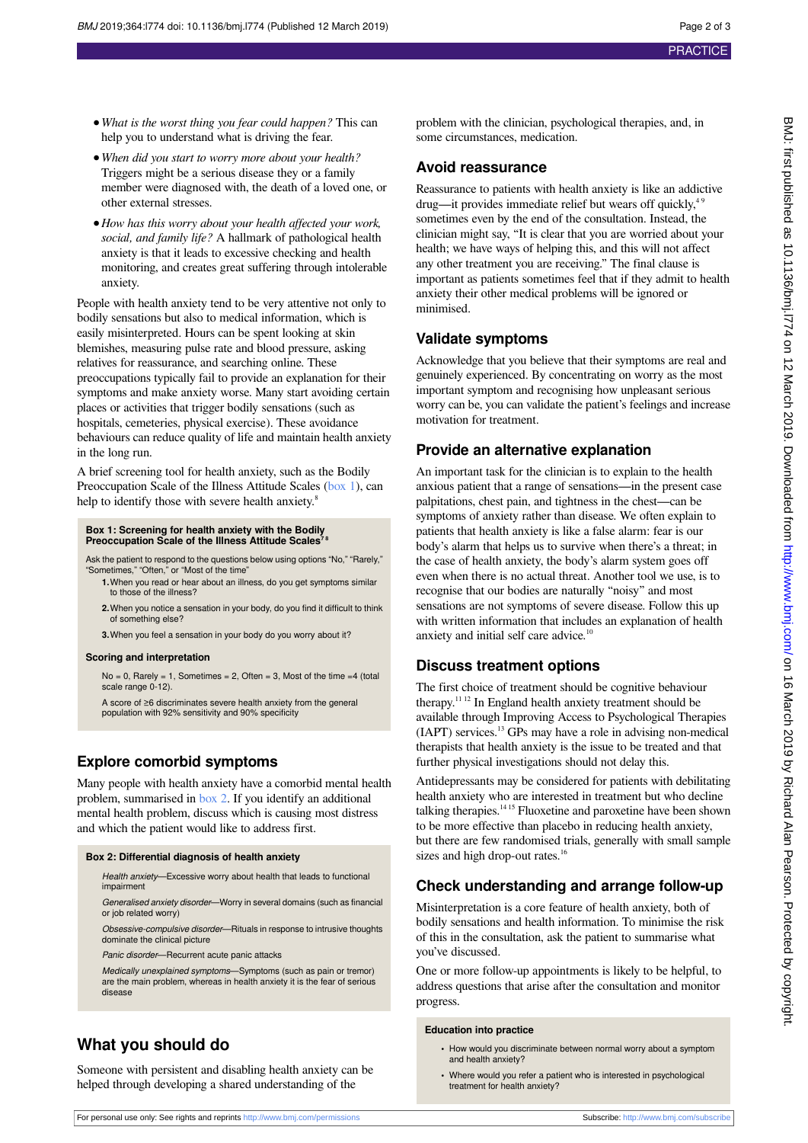- **•***What is the worst thing you fear could happen?* This can help you to understand what is driving the fear.
- **•***When did you start to worry more about your health?* Triggers might be a serious disease they or a family member were diagnosed with, the death of a loved one, or other external stresses.
- **•***How has this worry about your health affected your work, social, and family life?* A hallmark of pathological health anxiety is that it leads to excessive checking and health monitoring, and creates great suffering through intolerable anxiety.

People with health anxiety tend to be very attentive not only to bodily sensations but also to medical information, which is easily misinterpreted. Hours can be spent looking at skin blemishes, measuring pulse rate and blood pressure, asking relatives for reassurance, and searching online. These preoccupations typically fail to provide an explanation for their symptoms and make anxiety worse. Many start avoiding certain places or activities that trigger bodily sensations (such as hospitals, cemeteries, physical exercise). These avoidance behaviours can reduce quality of life and maintain health anxiety in the long run.

<span id="page-1-0"></span>A brief screening tool for health anxiety, such as the Bodily Preoccupation Scale of the Illness Attitude Scales ([box 1](#page-1-0)), can help to identify those with severe health anxiety.<sup>8</sup>

#### **Box 1: Screening for health anxiety with the Bodily Preoccupation Scale of the Illness Attitude Scales**

Ask the patient to respond to the questions below using options "No," "Rarely," "Sometimes," "Often," or "Most of the time"

- **1.**When you read or hear about an illness, do you get symptoms similar to those of the illness?
- **2.**When you notice a sensation in your body, do you find it difficult to think of something else?

**3.**When you feel a sensation in your body do you worry about it?

#### **Scoring and interpretation**

 $No = 0$ , Rarely = 1, Sometimes = 2, Often = 3, Most of the time = 4 (total scale range 0-12).

A score of ≥6 discriminates severe health anxiety from the general population with 92% sensitivity and 90% specificity

# **Explore comorbid symptoms**

<span id="page-1-1"></span>Many people with health anxiety have a comorbid mental health problem, summarised in [box 2](#page-1-1). If you identify an additional mental health problem, discuss which is causing most distress and which the patient would like to address first.

#### **Box 2: Differential diagnosis of health anxiety**

Health anxiety—Excessive worry about health that leads to functional impairment

Generalised anxiety disorder—Worry in several domains (such as financial or job related worry)

Obsessive-compulsive disorder—Rituals in response to intrusive thoughts dominate the clinical picture

Panic disorder—Recurrent acute panic attacks

Medically unexplained symptoms—Symptoms (such as pain or tremor) are the main problem, whereas in health anxiety it is the fear of serious disease

# **What you should do**

Someone with persistent and disabling health anxiety can be helped through developing a shared understanding of the

problem with the clinician, psychological therapies, and, in some circumstances, medication.

### **Avoid reassurance**

Reassurance to patients with health anxiety is like an addictive  $d$ rug—it provides immediate relief but wears off quickly, $4$ sometimes even by the end of the consultation. Instead, the clinician might say, "It is clear that you are worried about your health; we have ways of helping this, and this will not affect any other treatment you are receiving." The final clause is important as patients sometimes feel that if they admit to health anxiety their other medical problems will be ignored or minimised.

## **Validate symptoms**

Acknowledge that you believe that their symptoms are real and genuinely experienced. By concentrating on worry as the most important symptom and recognising how unpleasant serious worry can be, you can validate the patient's feelings and increase motivation for treatment.

# **Provide an alternative explanation**

An important task for the clinician is to explain to the health anxious patient that a range of sensations—in the present case palpitations, chest pain, and tightness in the chest—can be symptoms of anxiety rather than disease. We often explain to patients that health anxiety is like a false alarm: fear is our body's alarm that helps us to survive when there's a threat; in the case of health anxiety, the body's alarm system goes off even when there is no actual threat. Another tool we use, is to recognise that our bodies are naturally "noisy" and most sensations are not symptoms of severe disease. Follow this up with written information that includes an explanation of health anxiety and initial self care advice.<sup>10</sup>

# **Discuss treatment options**

The first choice of treatment should be cognitive behaviour therapy.11 12 In England health anxiety treatment should be available through Improving Access to Psychological Therapies (IAPT) services.<sup>13</sup> GPs may have a role in advising non-medical therapists that health anxiety is the issue to be treated and that further physical investigations should not delay this.

Antidepressants may be considered for patients with debilitating health anxiety who are interested in treatment but who decline talking therapies.<sup>14 15</sup> Fluoxetine and paroxetine have been shown to be more effective than placebo in reducing health anxiety, but there are few randomised trials, generally with small sample sizes and high drop-out rates.<sup>16</sup>

# **Check understanding and arrange follow-up**

Misinterpretation is a core feature of health anxiety, both of bodily sensations and health information. To minimise the risk of this in the consultation, ask the patient to summarise what you've discussed.

One or more follow-up appointments is likely to be helpful, to address questions that arise after the consultation and monitor progress.

#### **Education into practice**

- **•** How would you discriminate between normal worry about a symptom and health anxiety?
- **•** Where would you refer a patient who is interested in psychological treatment for health anxiety?